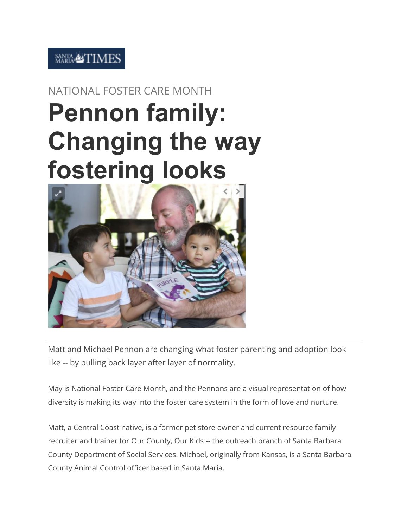## **SANTA &TIMES**

## NATIONAL FOSTER CARE MONTH **Pennon family: Changing the way fostering looks**



Matt and Michael Pennon are changing what foster parenting and adoption look like -- by pulling back layer after layer of normality.

May is National Foster Care Month, and the Pennons are a visual representation of how diversity is making its way into the foster care system in the form of love and nurture.

Matt, a Central Coast native, is a former pet store owner and current resource family recruiter and trainer for Our County, Our Kids -- the outreach branch of Santa Barbara County Department of Social Services. Michael, originally from Kansas, is a Santa Barbara County Animal Control officer based in Santa Maria.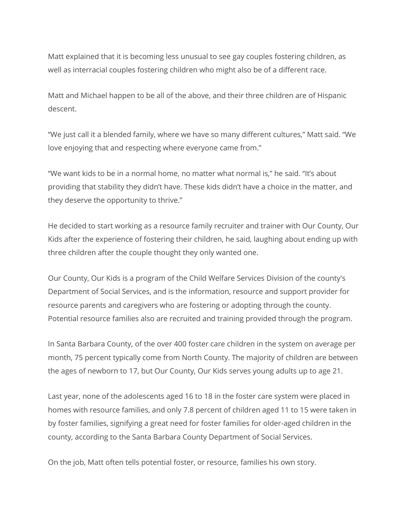Matt explained that it is becoming less unusual to see gay couples fostering children, as well as interracial couples fostering children who might also be of a different race.

Matt and Michael happen to be all of the above, and their three children are of Hispanic descent.

"We just call it a blended family, where we have so many different cultures," Matt said. "We love enjoying that and respecting where everyone came from."

"We want kids to be in a normal home, no matter what normal is," he said. "It's about providing that stability they didn't have. These kids didn't have a choice in the matter, and they deserve the opportunity to thrive."

He decided to start working as a resource family recruiter and trainer with Our County, Our Kids after the experience of fostering their children, he said, laughing about ending up with three children after the couple thought they only wanted one.

Our County, Our Kids is a program of the Child Welfare Services Division of the county's Department of Social Services, and is the information, resource and support provider for resource parents and caregivers who are fostering or adopting through the county. Potential resource families also are recruited and training provided through the program.

In Santa Barbara County, of the over 400 foster care children in the system on average per month, 75 percent typically come from North County. The majority of children are between the ages of newborn to 17, but Our County, Our Kids serves young adults up to age 21.

Last year, none of the adolescents aged 16 to 18 in the foster care system were placed in homes with resource families, and only 7.8 percent of children aged 11 to 15 were taken in by foster families, signifying a great need for foster families for older-aged children in the county, according to the Santa Barbara County Department of Social Services.

On the job, Matt often tells potential foster, or resource, families his own story.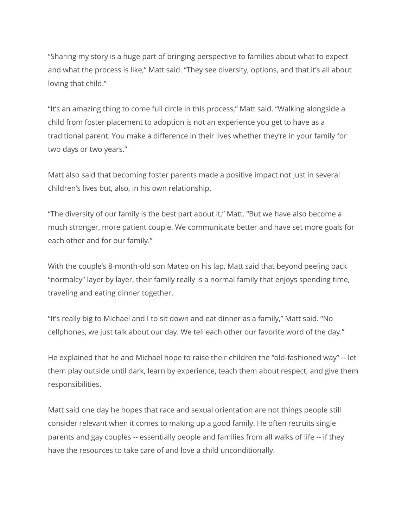"Sharing my story is a huge part of bringing perspective to families about what to expect and what the process is like," Matt said. "They see diversity, options, and that it's all about loving that child."

"It's an amazing thing to come full circle in this process," Matt said. "Walking alongside a child from foster placement to adoption is not an experience you get to have as a traditional parent. You make a difference in their lives whether they're in your family for two days or two years."

Matt also said that becoming foster parents made a positive impact not just in several children's lives but, also, in his own relationship.

"The diversity of our family is the best part about it," Matt. "But we have also become a much stronger, more patient couple. We communicate better and have set more goals for each other and for our family."

With the couple's 8-month-old son Mateo on his lap, Matt said that beyond peeling back "normalcy" layer by layer, their family really is a normal family that enjoys spending time, traveling and eating dinner together.

"It's really big to Michael and I to sit down and eat dinner as a family," Matt said. "No cellphones, we just talk about our day. We tell each other our favorite word of the day."

He explained that he and Michael hope to raise their children the "old-fashioned way" -- let them play outside until dark, learn by experience, teach them about respect, and give them responsibilities.

Matt said one day he hopes that race and sexual orientation are not things people still consider relevant when it comes to making up a good family. He often recruits single parents and gay couples -- essentially people and families from all walks of life -- if they have the resources to take care of and love a child unconditionally.